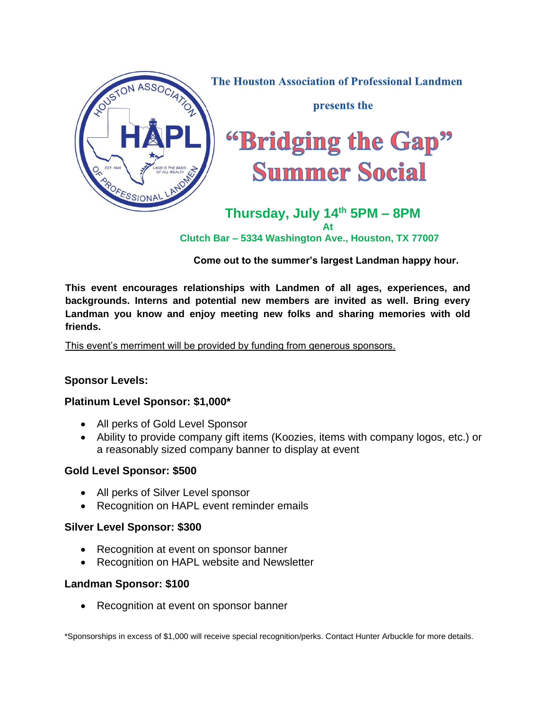

 **Clutch Bar – 5334 Washington Ave., Houston, TX 77007**

**Come out to the summer's largest Landman happy hour.**

**This event encourages relationships with Landmen of all ages, experiences, and backgrounds. Interns and potential new members are invited as well. Bring every Landman you know and enjoy meeting new folks and sharing memories with old friends.**

This event's merriment will be provided by funding from generous sponsors.

# **Sponsor Levels:**

# **Platinum Level Sponsor: \$1,000\***

- All perks of Gold Level Sponsor
- Ability to provide company gift items (Koozies, items with company logos, etc.) or a reasonably sized company banner to display at event

# **Gold Level Sponsor: \$500**

- All perks of Silver Level sponsor
- Recognition on HAPL event reminder emails

### **Silver Level Sponsor: \$300**

- Recognition at event on sponsor banner
- Recognition on HAPL website and Newsletter

### **Landman Sponsor: \$100**

• Recognition at event on sponsor banner

\*Sponsorships in excess of \$1,000 will receive special recognition/perks. Contact Hunter Arbuckle for more details.